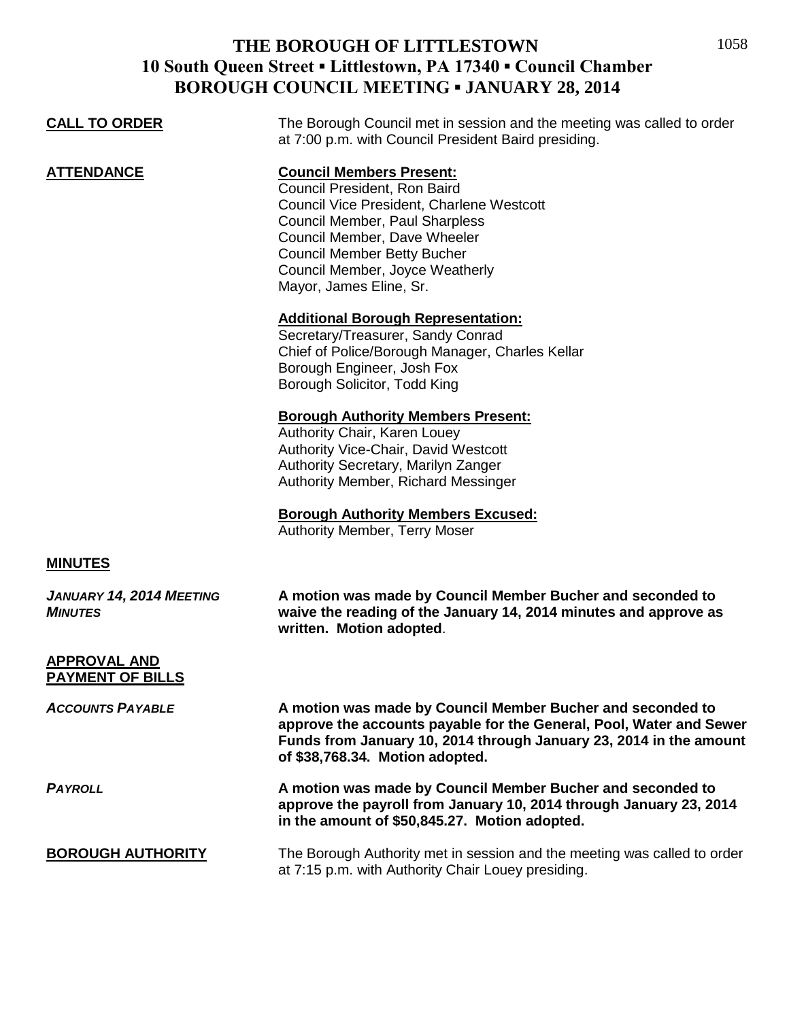| <b>CALL TO ORDER</b>                           | The Borough Council met in session and the meeting was called to order<br>at 7:00 p.m. with Council President Baird presiding.                                                                                                                                                     |
|------------------------------------------------|------------------------------------------------------------------------------------------------------------------------------------------------------------------------------------------------------------------------------------------------------------------------------------|
| <b>ATTENDANCE</b>                              | <b>Council Members Present:</b><br>Council President, Ron Baird<br>Council Vice President, Charlene Westcott<br>Council Member, Paul Sharpless<br>Council Member, Dave Wheeler<br><b>Council Member Betty Bucher</b><br>Council Member, Joyce Weatherly<br>Mayor, James Eline, Sr. |
|                                                | <b>Additional Borough Representation:</b><br>Secretary/Treasurer, Sandy Conrad<br>Chief of Police/Borough Manager, Charles Kellar<br>Borough Engineer, Josh Fox<br>Borough Solicitor, Todd King                                                                                    |
|                                                | <b>Borough Authority Members Present:</b><br>Authority Chair, Karen Louey<br>Authority Vice-Chair, David Westcott<br>Authority Secretary, Marilyn Zanger<br>Authority Member, Richard Messinger                                                                                    |
|                                                | <b>Borough Authority Members Excused:</b><br><b>Authority Member, Terry Moser</b>                                                                                                                                                                                                  |
| <b>MINUTES</b>                                 |                                                                                                                                                                                                                                                                                    |
| JANUARY 14, 2014 MEETING<br><b>MINUTES</b>     | A motion was made by Council Member Bucher and seconded to<br>waive the reading of the January 14, 2014 minutes and approve as<br>written. Motion adopted.                                                                                                                         |
| <b>APPROVAL AND</b><br><b>PAYMENT OF BILLS</b> |                                                                                                                                                                                                                                                                                    |
| <b>ACCOUNTS PAYABLE</b>                        | A motion was made by Council Member Bucher and seconded to<br>approve the accounts payable for the General, Pool, Water and Sewer<br>Funds from January 10, 2014 through January 23, 2014 in the amount<br>of \$38,768.34. Motion adopted.                                         |
| <b>PAYROLL</b>                                 | A motion was made by Council Member Bucher and seconded to<br>approve the payroll from January 10, 2014 through January 23, 2014<br>in the amount of \$50,845.27. Motion adopted.                                                                                                  |
| <b>BOROUGH AUTHORITY</b>                       | The Borough Authority met in session and the meeting was called to order<br>at 7:15 p.m. with Authority Chair Louey presiding.                                                                                                                                                     |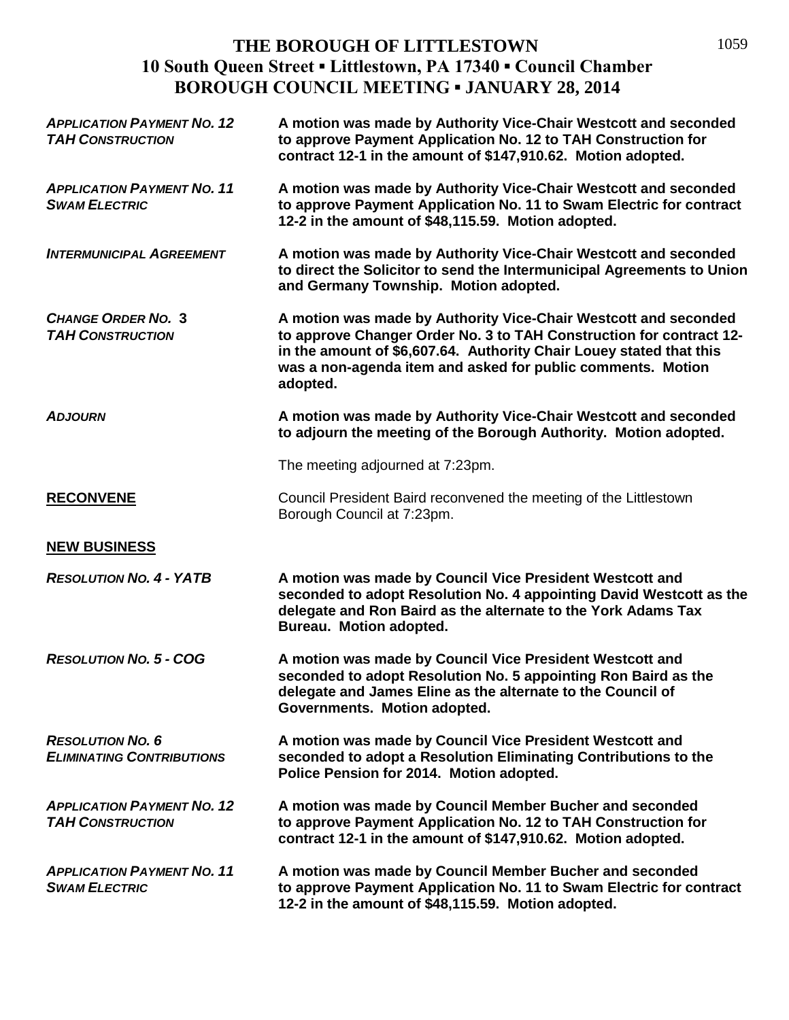| <b>APPLICATION PAYMENT NO. 12</b><br><b>TAH CONSTRUCTION</b> | A motion was made by Authority Vice-Chair Westcott and seconded<br>to approve Payment Application No. 12 to TAH Construction for<br>contract 12-1 in the amount of \$147,910.62. Motion adopted.                                                                                         |
|--------------------------------------------------------------|------------------------------------------------------------------------------------------------------------------------------------------------------------------------------------------------------------------------------------------------------------------------------------------|
| <b>APPLICATION PAYMENT NO. 11</b><br><b>SWAM ELECTRIC</b>    | A motion was made by Authority Vice-Chair Westcott and seconded<br>to approve Payment Application No. 11 to Swam Electric for contract<br>12-2 in the amount of \$48,115.59. Motion adopted.                                                                                             |
| <b>INTERMUNICIPAL AGREEMENT</b>                              | A motion was made by Authority Vice-Chair Westcott and seconded<br>to direct the Solicitor to send the Intermunicipal Agreements to Union<br>and Germany Township. Motion adopted.                                                                                                       |
| <b>CHANGE ORDER NO. 3</b><br><b>TAH CONSTRUCTION</b>         | A motion was made by Authority Vice-Chair Westcott and seconded<br>to approve Changer Order No. 3 to TAH Construction for contract 12-<br>in the amount of \$6,607.64. Authority Chair Louey stated that this<br>was a non-agenda item and asked for public comments. Motion<br>adopted. |
| <b>ADJOURN</b>                                               | A motion was made by Authority Vice-Chair Westcott and seconded<br>to adjourn the meeting of the Borough Authority. Motion adopted.                                                                                                                                                      |
|                                                              | The meeting adjourned at 7:23pm.                                                                                                                                                                                                                                                         |
| <b>RECONVENE</b>                                             | Council President Baird reconvened the meeting of the Littlestown<br>Borough Council at 7:23pm.                                                                                                                                                                                          |
| <b>NEW BUSINESS</b>                                          |                                                                                                                                                                                                                                                                                          |
| <b>RESOLUTION NO. 4 - YATB</b>                               | A motion was made by Council Vice President Westcott and<br>seconded to adopt Resolution No. 4 appointing David Westcott as the<br>delegate and Ron Baird as the alternate to the York Adams Tax<br>Bureau. Motion adopted.                                                              |
| <b>RESOLUTION NO. 5 - COG</b>                                | A motion was made by Council Vice President Westcott and<br>seconded to adopt Resolution No. 5 appointing Ron Baird as the<br>delegate and James Eline as the alternate to the Council of<br>Governments. Motion adopted.                                                                |
| <b>RESOLUTION NO. 6</b><br><b>ELIMINATING CONTRIBUTIONS</b>  | A motion was made by Council Vice President Westcott and<br>seconded to adopt a Resolution Eliminating Contributions to the<br>Police Pension for 2014. Motion adopted.                                                                                                                  |
| <b>APPLICATION PAYMENT NO. 12</b><br><b>TAH CONSTRUCTION</b> | A motion was made by Council Member Bucher and seconded<br>to approve Payment Application No. 12 to TAH Construction for<br>contract 12-1 in the amount of \$147,910.62. Motion adopted.                                                                                                 |
| <b>APPLICATION PAYMENT NO. 11</b><br><b>SWAM ELECTRIC</b>    | A motion was made by Council Member Bucher and seconded<br>to approve Payment Application No. 11 to Swam Electric for contract<br>12-2 in the amount of \$48,115.59. Motion adopted.                                                                                                     |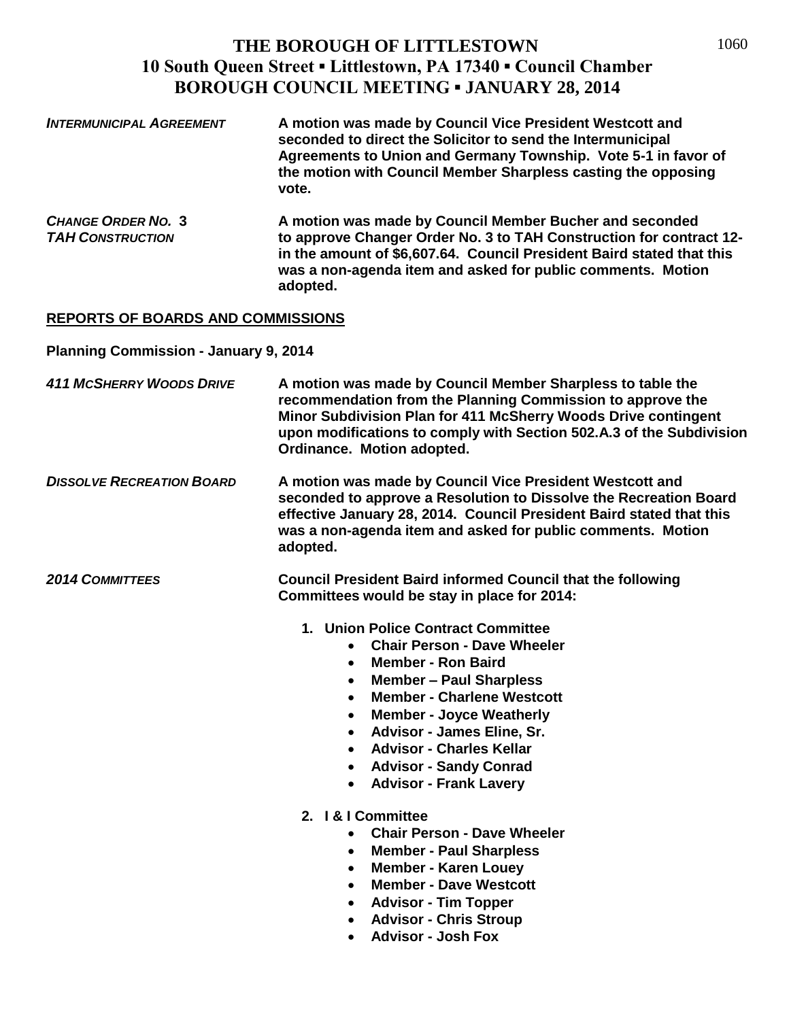| <b>INTERMUNICIPAL AGREEMENT</b> | A motion was made by Council Vice President Westcott and<br>seconded to direct the Solicitor to send the Intermunicipal<br>Agreements to Union and Germany Township. Vote 5-1 in favor of<br>the motion with Council Member Sharpless casting the opposing<br>vote. |
|---------------------------------|---------------------------------------------------------------------------------------------------------------------------------------------------------------------------------------------------------------------------------------------------------------------|
| $C_{\text{HAMCE}}$ Oppen No. 2  | A motion was mado by Council Mombor Rucher and seconded                                                                                                                                                                                                             |

*CHANGE ORDER NO.* **3 A motion was made by Council Member Bucher and seconded**  *TAH CONSTRUCTION* **to approve Changer Order No. 3 to TAH Construction for contract 12 in the amount of \$6,607.64. Council President Baird stated that this was a non-agenda item and asked for public comments. Motion adopted.**

#### **REPORTS OF BOARDS AND COMMISSIONS**

**Planning Commission - January 9, 2014**

- *411 MCSHERRY WOODS DRIVE* **A motion was made by Council Member Sharpless to table the recommendation from the Planning Commission to approve the Minor Subdivision Plan for 411 McSherry Woods Drive contingent upon modifications to comply with Section 502.A.3 of the Subdivision Ordinance. Motion adopted.**
- *DISSOLVE RECREATION BOARD* **A motion was made by Council Vice President Westcott and seconded to approve a Resolution to Dissolve the Recreation Board effective January 28, 2014. Council President Baird stated that this was a non-agenda item and asked for public comments. Motion adopted.**

*2014 COMMITTEES* **Council President Baird informed Council that the following Committees would be stay in place for 2014:**

- **1. Union Police Contract Committee**
	- **Chair Person - Dave Wheeler**
	- **Member - Ron Baird**
	- **Member – Paul Sharpless**
	- **Member - Charlene Westcott**
	- **Member - Joyce Weatherly**
	- **Advisor - James Eline, Sr.**
	- **Advisor - Charles Kellar**
	- **Advisor - Sandy Conrad**
	- **Advisor - Frank Lavery**
- **2. I & I Committee**
	- **Chair Person - Dave Wheeler**
	- **Member - Paul Sharpless**
	- **Member - Karen Louey**
	- **Member - Dave Westcott**
	- **Advisor - Tim Topper**
	- **Advisor - Chris Stroup**
	- **Advisor - Josh Fox**